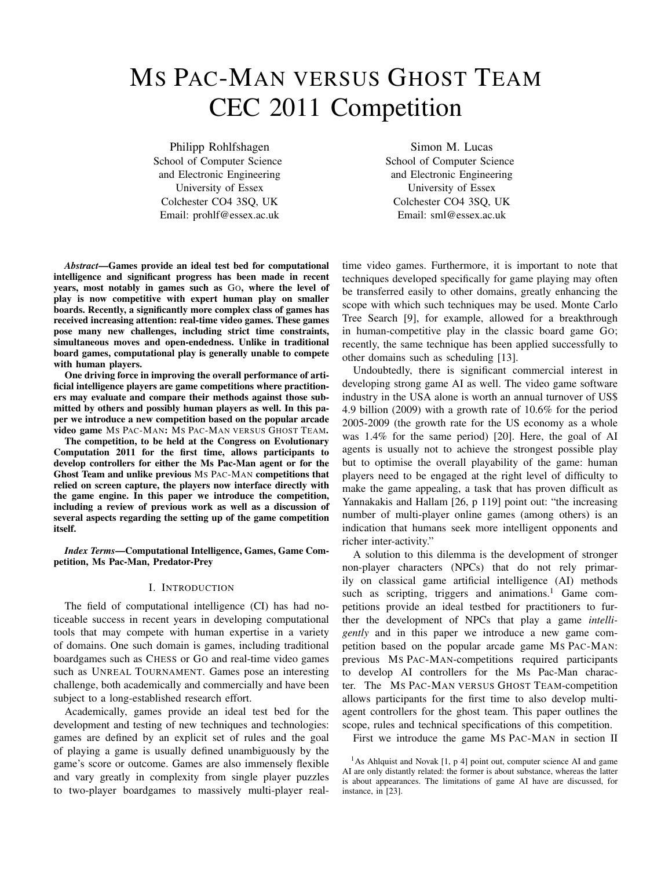# MS PAC-MAN VERSUS GHOST TEAM CEC 2011 Competition

Philipp Rohlfshagen School of Computer Science and Electronic Engineering University of Essex Colchester CO4 3SQ, UK Email: prohlf@essex.ac.uk

Simon M. Lucas School of Computer Science and Electronic Engineering University of Essex Colchester CO4 3SQ, UK Email: sml@essex.ac.uk

*Abstract*—Games provide an ideal test bed for computational intelligence and significant progress has been made in recent years, most notably in games such as GO, where the level of play is now competitive with expert human play on smaller boards. Recently, a significantly more complex class of games has received increasing attention: real-time video games. These games pose many new challenges, including strict time constraints, simultaneous moves and open-endedness. Unlike in traditional board games, computational play is generally unable to compete with human players.

One driving force in improving the overall performance of artificial intelligence players are game competitions where practitioners may evaluate and compare their methods against those submitted by others and possibly human players as well. In this paper we introduce a new competition based on the popular arcade video game MS PAC-MAN: MS PAC-MAN VERSUS GHOST TEAM.

The competition, to be held at the Congress on Evolutionary Computation 2011 for the first time, allows participants to develop controllers for either the Ms Pac-Man agent or for the Ghost Team and unlike previous MS PAC-MAN competitions that relied on screen capture, the players now interface directly with the game engine. In this paper we introduce the competition, including a review of previous work as well as a discussion of several aspects regarding the setting up of the game competition itself.

*Index Terms*—Computational Intelligence, Games, Game Competition, Ms Pac-Man, Predator-Prey

#### I. INTRODUCTION

The field of computational intelligence (CI) has had noticeable success in recent years in developing computational tools that may compete with human expertise in a variety of domains. One such domain is games, including traditional boardgames such as CHESS or GO and real-time video games such as UNREAL TOURNAMENT. Games pose an interesting challenge, both academically and commercially and have been subject to a long-established research effort.

Academically, games provide an ideal test bed for the development and testing of new techniques and technologies: games are defined by an explicit set of rules and the goal of playing a game is usually defined unambiguously by the game's score or outcome. Games are also immensely flexible and vary greatly in complexity from single player puzzles to two-player boardgames to massively multi-player realtime video games. Furthermore, it is important to note that techniques developed specifically for game playing may often be transferred easily to other domains, greatly enhancing the scope with which such techniques may be used. Monte Carlo Tree Search [9], for example, allowed for a breakthrough in human-competitive play in the classic board game GO; recently, the same technique has been applied successfully to other domains such as scheduling [13].

Undoubtedly, there is significant commercial interest in developing strong game AI as well. The video game software industry in the USA alone is worth an annual turnover of US\$ 4.9 billion (2009) with a growth rate of 10.6% for the period 2005-2009 (the growth rate for the US economy as a whole was 1.4% for the same period) [20]. Here, the goal of AI agents is usually not to achieve the strongest possible play but to optimise the overall playability of the game: human players need to be engaged at the right level of difficulty to make the game appealing, a task that has proven difficult as Yannakakis and Hallam [26, p 119] point out: "the increasing number of multi-player online games (among others) is an indication that humans seek more intelligent opponents and richer inter-activity."

A solution to this dilemma is the development of stronger non-player characters (NPCs) that do not rely primarily on classical game artificial intelligence (AI) methods such as scripting, triggers and animations.<sup>1</sup> Game competitions provide an ideal testbed for practitioners to further the development of NPCs that play a game *intelligently* and in this paper we introduce a new game competition based on the popular arcade game MS PAC-MAN: previous MS PAC-MAN-competitions required participants to develop AI controllers for the Ms Pac-Man character. The MS PAC-MAN VERSUS GHOST TEAM-competition allows participants for the first time to also develop multiagent controllers for the ghost team. This paper outlines the scope, rules and technical specifications of this competition.

First we introduce the game MS PAC-MAN in section II

 $<sup>1</sup>$ As Ahlquist and Novak [1, p 4] point out, computer science AI and game</sup> AI are only distantly related: the former is about substance, whereas the latter is about appearances. The limitations of game AI have are discussed, for instance, in [23].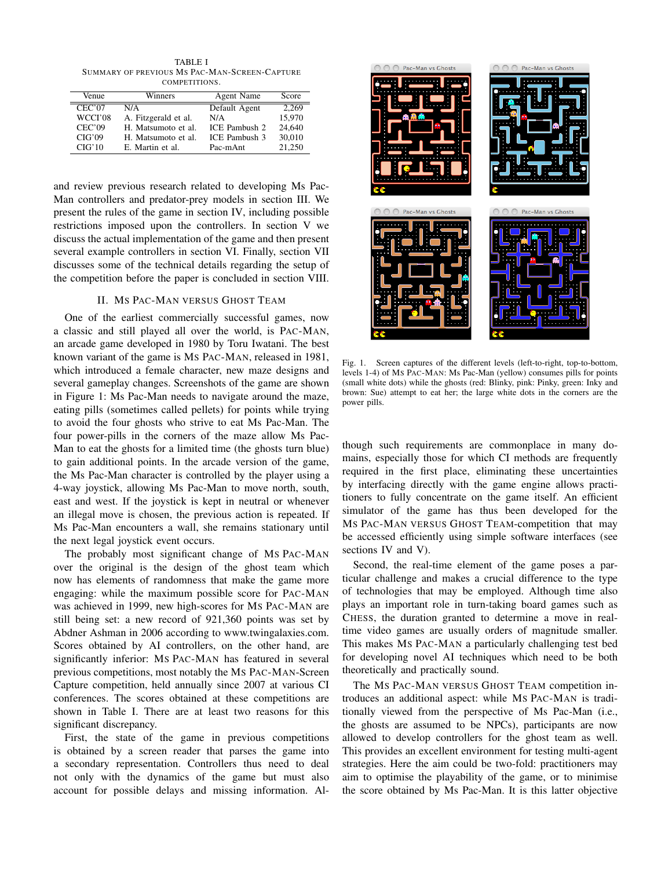TABLE I SUMMARY OF PREVIOUS MS PAC-MAN-SCREEN-CAPTURE COMPETITIONS.

| Venue   | Winners              | Agent Name    | Score  |
|---------|----------------------|---------------|--------|
| CEC'07  | N/A                  | Default Agent | 2,269  |
| WCCI'08 | A. Fitzgerald et al. | N/A           | 15.970 |
| CEC'09  | H. Matsumoto et al.  | ICE Pambush 2 | 24.640 |
| CIG'09  | H. Matsumoto et al.  | ICE Pambush 3 | 30.010 |
| CIG'10  | E. Martin et al.     | Pac-mAnt      | 21.250 |

and review previous research related to developing Ms Pac-Man controllers and predator-prey models in section III. We present the rules of the game in section IV, including possible restrictions imposed upon the controllers. In section V we discuss the actual implementation of the game and then present several example controllers in section VI. Finally, section VII discusses some of the technical details regarding the setup of the competition before the paper is concluded in section VIII.

### II. MS PAC-MAN VERSUS GHOST TEAM

One of the earliest commercially successful games, now a classic and still played all over the world, is PAC-MAN, an arcade game developed in 1980 by Toru Iwatani. The best known variant of the game is MS PAC-MAN, released in 1981, which introduced a female character, new maze designs and several gameplay changes. Screenshots of the game are shown in Figure 1: Ms Pac-Man needs to navigate around the maze, eating pills (sometimes called pellets) for points while trying to avoid the four ghosts who strive to eat Ms Pac-Man. The four power-pills in the corners of the maze allow Ms Pac-Man to eat the ghosts for a limited time (the ghosts turn blue) to gain additional points. In the arcade version of the game, the Ms Pac-Man character is controlled by the player using a 4-way joystick, allowing Ms Pac-Man to move north, south, east and west. If the joystick is kept in neutral or whenever an illegal move is chosen, the previous action is repeated. If Ms Pac-Man encounters a wall, she remains stationary until the next legal joystick event occurs.

The probably most significant change of MS PAC-MAN over the original is the design of the ghost team which now has elements of randomness that make the game more engaging: while the maximum possible score for PAC-MAN was achieved in 1999, new high-scores for MS PAC-MAN are still being set: a new record of 921,360 points was set by Abdner Ashman in 2006 according to www.twingalaxies.com. Scores obtained by AI controllers, on the other hand, are significantly inferior: MS PAC-MAN has featured in several previous competitions, most notably the MS PAC-MAN-Screen Capture competition, held annually since 2007 at various CI conferences. The scores obtained at these competitions are shown in Table I. There are at least two reasons for this significant discrepancy.

First, the state of the game in previous competitions is obtained by a screen reader that parses the game into a secondary representation. Controllers thus need to deal not only with the dynamics of the game but must also account for possible delays and missing information. Al-



Fig. 1. Screen captures of the different levels (left-to-right, top-to-bottom, levels 1-4) of MS PAC-MAN: Ms Pac-Man (yellow) consumes pills for points (small white dots) while the ghosts (red: Blinky, pink: Pinky, green: Inky and brown: Sue) attempt to eat her; the large white dots in the corners are the power pills.

though such requirements are commonplace in many domains, especially those for which CI methods are frequently required in the first place, eliminating these uncertainties by interfacing directly with the game engine allows practitioners to fully concentrate on the game itself. An efficient simulator of the game has thus been developed for the MS PAC-MAN VERSUS GHOST TEAM-competition that may be accessed efficiently using simple software interfaces (see sections IV and V).

Second, the real-time element of the game poses a particular challenge and makes a crucial difference to the type of technologies that may be employed. Although time also plays an important role in turn-taking board games such as CHESS, the duration granted to determine a move in realtime video games are usually orders of magnitude smaller. This makes MS PAC-MAN a particularly challenging test bed for developing novel AI techniques which need to be both theoretically and practically sound.

The MS PAC-MAN VERSUS GHOST TEAM competition introduces an additional aspect: while MS PAC-MAN is traditionally viewed from the perspective of Ms Pac-Man (i.e., the ghosts are assumed to be NPCs), participants are now allowed to develop controllers for the ghost team as well. This provides an excellent environment for testing multi-agent strategies. Here the aim could be two-fold: practitioners may aim to optimise the playability of the game, or to minimise the score obtained by Ms Pac-Man. It is this latter objective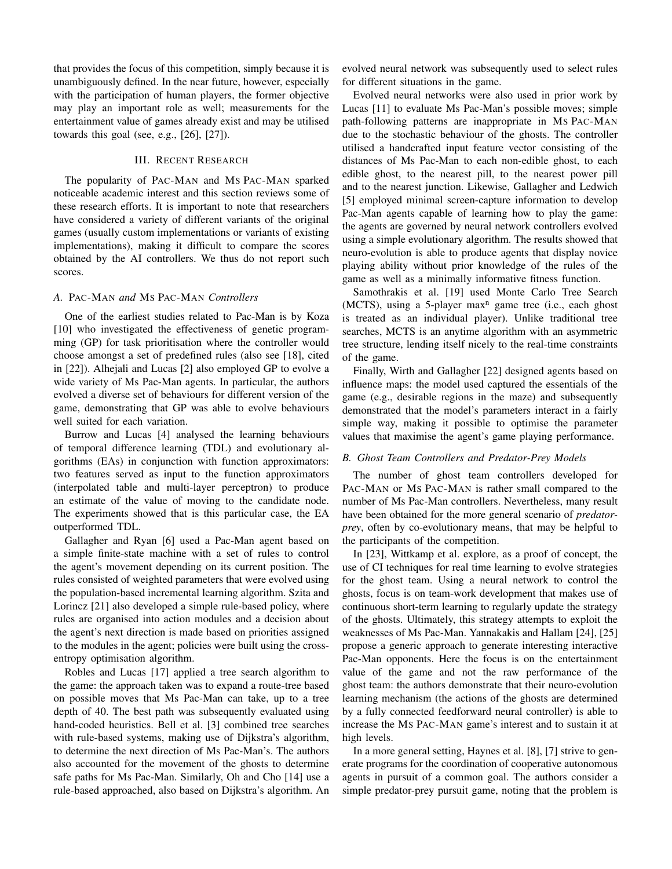that provides the focus of this competition, simply because it is unambiguously defined. In the near future, however, especially with the participation of human players, the former objective may play an important role as well; measurements for the entertainment value of games already exist and may be utilised towards this goal (see, e.g., [26], [27]).

# III. RECENT RESEARCH

The popularity of PAC-MAN and MS PAC-MAN sparked noticeable academic interest and this section reviews some of these research efforts. It is important to note that researchers have considered a variety of different variants of the original games (usually custom implementations or variants of existing implementations), making it difficult to compare the scores obtained by the AI controllers. We thus do not report such scores.

### *A.* PAC-MAN *and* MS PAC-MAN *Controllers*

One of the earliest studies related to Pac-Man is by Koza [10] who investigated the effectiveness of genetic programming (GP) for task prioritisation where the controller would choose amongst a set of predefined rules (also see [18], cited in [22]). Alhejali and Lucas [2] also employed GP to evolve a wide variety of Ms Pac-Man agents. In particular, the authors evolved a diverse set of behaviours for different version of the game, demonstrating that GP was able to evolve behaviours well suited for each variation.

Burrow and Lucas [4] analysed the learning behaviours of temporal difference learning (TDL) and evolutionary algorithms (EAs) in conjunction with function approximators: two features served as input to the function approximators (interpolated table and multi-layer perceptron) to produce an estimate of the value of moving to the candidate node. The experiments showed that is this particular case, the EA outperformed TDL.

Gallagher and Ryan [6] used a Pac-Man agent based on a simple finite-state machine with a set of rules to control the agent's movement depending on its current position. The rules consisted of weighted parameters that were evolved using the population-based incremental learning algorithm. Szita and Lorincz [21] also developed a simple rule-based policy, where rules are organised into action modules and a decision about the agent's next direction is made based on priorities assigned to the modules in the agent; policies were built using the crossentropy optimisation algorithm.

Robles and Lucas [17] applied a tree search algorithm to the game: the approach taken was to expand a route-tree based on possible moves that Ms Pac-Man can take, up to a tree depth of 40. The best path was subsequently evaluated using hand-coded heuristics. Bell et al. [3] combined tree searches with rule-based systems, making use of Dijkstra's algorithm, to determine the next direction of Ms Pac-Man's. The authors also accounted for the movement of the ghosts to determine safe paths for Ms Pac-Man. Similarly, Oh and Cho [14] use a rule-based approached, also based on Dijkstra's algorithm. An evolved neural network was subsequently used to select rules for different situations in the game.

Evolved neural networks were also used in prior work by Lucas [11] to evaluate Ms Pac-Man's possible moves; simple path-following patterns are inappropriate in MS PAC-MAN due to the stochastic behaviour of the ghosts. The controller utilised a handcrafted input feature vector consisting of the distances of Ms Pac-Man to each non-edible ghost, to each edible ghost, to the nearest pill, to the nearest power pill and to the nearest junction. Likewise, Gallagher and Ledwich [5] employed minimal screen-capture information to develop Pac-Man agents capable of learning how to play the game: the agents are governed by neural network controllers evolved using a simple evolutionary algorithm. The results showed that neuro-evolution is able to produce agents that display novice playing ability without prior knowledge of the rules of the game as well as a minimally informative fitness function.

Samothrakis et al. [19] used Monte Carlo Tree Search (MCTS), using a 5-player max<sup>n</sup> game tree (i.e., each ghost is treated as an individual player). Unlike traditional tree searches, MCTS is an anytime algorithm with an asymmetric tree structure, lending itself nicely to the real-time constraints of the game.

Finally, Wirth and Gallagher [22] designed agents based on influence maps: the model used captured the essentials of the game (e.g., desirable regions in the maze) and subsequently demonstrated that the model's parameters interact in a fairly simple way, making it possible to optimise the parameter values that maximise the agent's game playing performance.

# *B. Ghost Team Controllers and Predator-Prey Models*

The number of ghost team controllers developed for PAC-MAN or MS PAC-MAN is rather small compared to the number of Ms Pac-Man controllers. Nevertheless, many result have been obtained for the more general scenario of *predatorprey*, often by co-evolutionary means, that may be helpful to the participants of the competition.

In [23], Wittkamp et al. explore, as a proof of concept, the use of CI techniques for real time learning to evolve strategies for the ghost team. Using a neural network to control the ghosts, focus is on team-work development that makes use of continuous short-term learning to regularly update the strategy of the ghosts. Ultimately, this strategy attempts to exploit the weaknesses of Ms Pac-Man. Yannakakis and Hallam [24], [25] propose a generic approach to generate interesting interactive Pac-Man opponents. Here the focus is on the entertainment value of the game and not the raw performance of the ghost team: the authors demonstrate that their neuro-evolution learning mechanism (the actions of the ghosts are determined by a fully connected feedforward neural controller) is able to increase the MS PAC-MAN game's interest and to sustain it at high levels.

In a more general setting, Haynes et al. [8], [7] strive to generate programs for the coordination of cooperative autonomous agents in pursuit of a common goal. The authors consider a simple predator-prey pursuit game, noting that the problem is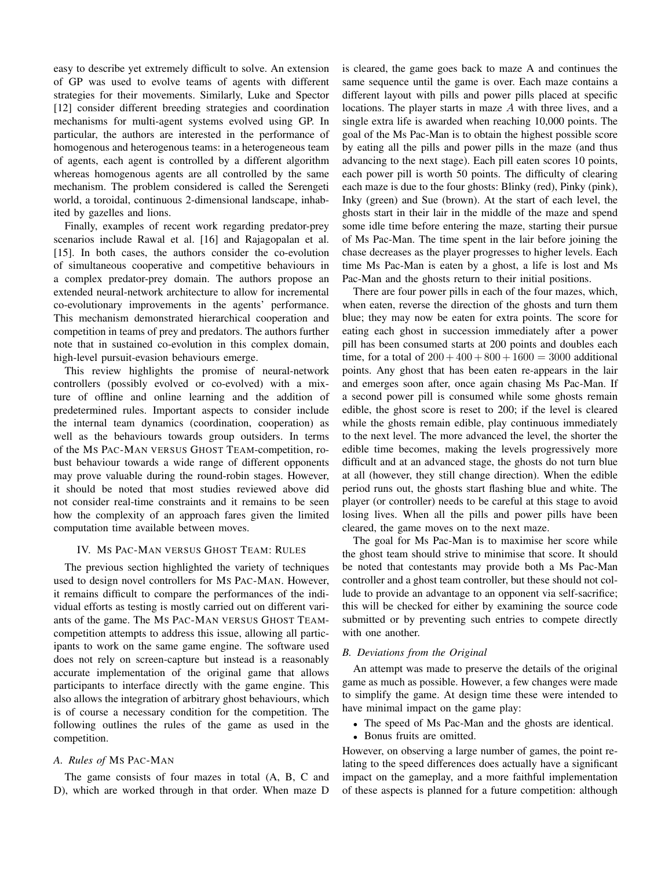easy to describe yet extremely difficult to solve. An extension of GP was used to evolve teams of agents with different strategies for their movements. Similarly, Luke and Spector [12] consider different breeding strategies and coordination mechanisms for multi-agent systems evolved using GP. In particular, the authors are interested in the performance of homogenous and heterogenous teams: in a heterogeneous team of agents, each agent is controlled by a different algorithm whereas homogenous agents are all controlled by the same mechanism. The problem considered is called the Serengeti world, a toroidal, continuous 2-dimensional landscape, inhabited by gazelles and lions.

Finally, examples of recent work regarding predator-prey scenarios include Rawal et al. [16] and Rajagopalan et al. [15]. In both cases, the authors consider the co-evolution of simultaneous cooperative and competitive behaviours in a complex predator-prey domain. The authors propose an extended neural-network architecture to allow for incremental co-evolutionary improvements in the agents' performance. This mechanism demonstrated hierarchical cooperation and competition in teams of prey and predators. The authors further note that in sustained co-evolution in this complex domain, high-level pursuit-evasion behaviours emerge.

This review highlights the promise of neural-network controllers (possibly evolved or co-evolved) with a mixture of offline and online learning and the addition of predetermined rules. Important aspects to consider include the internal team dynamics (coordination, cooperation) as well as the behaviours towards group outsiders. In terms of the MS PAC-MAN VERSUS GHOST TEAM-competition, robust behaviour towards a wide range of different opponents may prove valuable during the round-robin stages. However, it should be noted that most studies reviewed above did not consider real-time constraints and it remains to be seen how the complexity of an approach fares given the limited computation time available between moves.

#### IV. MS PAC-MAN VERSUS GHOST TEAM: RULES

The previous section highlighted the variety of techniques used to design novel controllers for MS PAC-MAN. However, it remains difficult to compare the performances of the individual efforts as testing is mostly carried out on different variants of the game. The MS PAC-MAN VERSUS GHOST TEAMcompetition attempts to address this issue, allowing all participants to work on the same game engine. The software used does not rely on screen-capture but instead is a reasonably accurate implementation of the original game that allows participants to interface directly with the game engine. This also allows the integration of arbitrary ghost behaviours, which is of course a necessary condition for the competition. The following outlines the rules of the game as used in the competition.

# *A. Rules of* MS PAC-MAN

The game consists of four mazes in total (A, B, C and D), which are worked through in that order. When maze D is cleared, the game goes back to maze A and continues the same sequence until the game is over. Each maze contains a different layout with pills and power pills placed at specific locations. The player starts in maze A with three lives, and a single extra life is awarded when reaching 10,000 points. The goal of the Ms Pac-Man is to obtain the highest possible score by eating all the pills and power pills in the maze (and thus advancing to the next stage). Each pill eaten scores 10 points, each power pill is worth 50 points. The difficulty of clearing each maze is due to the four ghosts: Blinky (red), Pinky (pink), Inky (green) and Sue (brown). At the start of each level, the ghosts start in their lair in the middle of the maze and spend some idle time before entering the maze, starting their pursue of Ms Pac-Man. The time spent in the lair before joining the chase decreases as the player progresses to higher levels. Each time Ms Pac-Man is eaten by a ghost, a life is lost and Ms Pac-Man and the ghosts return to their initial positions.

There are four power pills in each of the four mazes, which, when eaten, reverse the direction of the ghosts and turn them blue; they may now be eaten for extra points. The score for eating each ghost in succession immediately after a power pill has been consumed starts at 200 points and doubles each time, for a total of  $200 + 400 + 800 + 1600 = 3000$  additional points. Any ghost that has been eaten re-appears in the lair and emerges soon after, once again chasing Ms Pac-Man. If a second power pill is consumed while some ghosts remain edible, the ghost score is reset to 200; if the level is cleared while the ghosts remain edible, play continuous immediately to the next level. The more advanced the level, the shorter the edible time becomes, making the levels progressively more difficult and at an advanced stage, the ghosts do not turn blue at all (however, they still change direction). When the edible period runs out, the ghosts start flashing blue and white. The player (or controller) needs to be careful at this stage to avoid losing lives. When all the pills and power pills have been cleared, the game moves on to the next maze.

The goal for Ms Pac-Man is to maximise her score while the ghost team should strive to minimise that score. It should be noted that contestants may provide both a Ms Pac-Man controller and a ghost team controller, but these should not collude to provide an advantage to an opponent via self-sacrifice; this will be checked for either by examining the source code submitted or by preventing such entries to compete directly with one another.

#### *B. Deviations from the Original*

An attempt was made to preserve the details of the original game as much as possible. However, a few changes were made to simplify the game. At design time these were intended to have minimal impact on the game play:

- The speed of Ms Pac-Man and the ghosts are identical.
- Bonus fruits are omitted.

However, on observing a large number of games, the point relating to the speed differences does actually have a significant impact on the gameplay, and a more faithful implementation of these aspects is planned for a future competition: although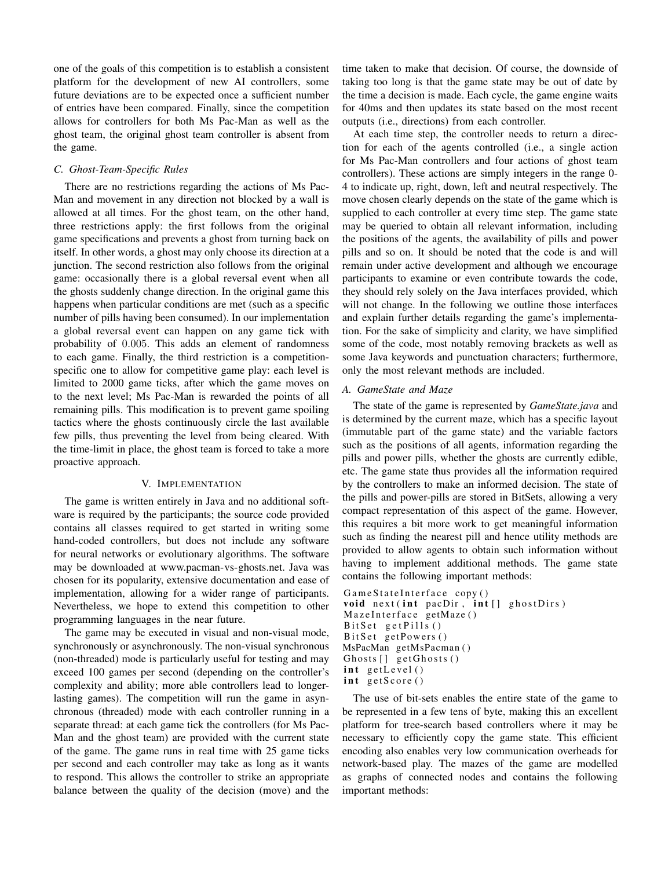one of the goals of this competition is to establish a consistent platform for the development of new AI controllers, some future deviations are to be expected once a sufficient number of entries have been compared. Finally, since the competition allows for controllers for both Ms Pac-Man as well as the ghost team, the original ghost team controller is absent from the game.

# *C. Ghost-Team-Specific Rules*

There are no restrictions regarding the actions of Ms Pac-Man and movement in any direction not blocked by a wall is allowed at all times. For the ghost team, on the other hand, three restrictions apply: the first follows from the original game specifications and prevents a ghost from turning back on itself. In other words, a ghost may only choose its direction at a junction. The second restriction also follows from the original game: occasionally there is a global reversal event when all the ghosts suddenly change direction. In the original game this happens when particular conditions are met (such as a specific number of pills having been consumed). In our implementation a global reversal event can happen on any game tick with probability of 0.005. This adds an element of randomness to each game. Finally, the third restriction is a competitionspecific one to allow for competitive game play: each level is limited to 2000 game ticks, after which the game moves on to the next level; Ms Pac-Man is rewarded the points of all remaining pills. This modification is to prevent game spoiling tactics where the ghosts continuously circle the last available few pills, thus preventing the level from being cleared. With the time-limit in place, the ghost team is forced to take a more proactive approach.

# V. IMPLEMENTATION

The game is written entirely in Java and no additional software is required by the participants; the source code provided contains all classes required to get started in writing some hand-coded controllers, but does not include any software for neural networks or evolutionary algorithms. The software may be downloaded at www.pacman-vs-ghosts.net. Java was chosen for its popularity, extensive documentation and ease of implementation, allowing for a wider range of participants. Nevertheless, we hope to extend this competition to other programming languages in the near future.

The game may be executed in visual and non-visual mode, synchronously or asynchronously. The non-visual synchronous (non-threaded) mode is particularly useful for testing and may exceed 100 games per second (depending on the controller's complexity and ability; more able controllers lead to longerlasting games). The competition will run the game in asynchronous (threaded) mode with each controller running in a separate thread: at each game tick the controllers (for Ms Pac-Man and the ghost team) are provided with the current state of the game. The game runs in real time with 25 game ticks per second and each controller may take as long as it wants to respond. This allows the controller to strike an appropriate balance between the quality of the decision (move) and the time taken to make that decision. Of course, the downside of taking too long is that the game state may be out of date by the time a decision is made. Each cycle, the game engine waits for 40ms and then updates its state based on the most recent outputs (i.e., directions) from each controller.

At each time step, the controller needs to return a direction for each of the agents controlled (i.e., a single action for Ms Pac-Man controllers and four actions of ghost team controllers). These actions are simply integers in the range 0- 4 to indicate up, right, down, left and neutral respectively. The move chosen clearly depends on the state of the game which is supplied to each controller at every time step. The game state may be queried to obtain all relevant information, including the positions of the agents, the availability of pills and power pills and so on. It should be noted that the code is and will remain under active development and although we encourage participants to examine or even contribute towards the code, they should rely solely on the Java interfaces provided, which will not change. In the following we outline those interfaces and explain further details regarding the game's implementation. For the sake of simplicity and clarity, we have simplified some of the code, most notably removing brackets as well as some Java keywords and punctuation characters; furthermore, only the most relevant methods are included.

# *A. GameState and Maze*

The state of the game is represented by *GameState.java* and is determined by the current maze, which has a specific layout (immutable part of the game state) and the variable factors such as the positions of all agents, information regarding the pills and power pills, whether the ghosts are currently edible, etc. The game state thus provides all the information required by the controllers to make an informed decision. The state of the pills and power-pills are stored in BitSets, allowing a very compact representation of this aspect of the game. However, this requires a bit more work to get meaningful information such as finding the nearest pill and hence utility methods are provided to allow agents to obtain such information without having to implement additional methods. The game state contains the following important methods:

```
GameStateInterface copy ()
void next(int pacDir, int[] ghostDirs)
MazeInterface getMaze ()
BitSet getPills()
BitSet getPowers()
MsPacMan getMsPacman ( )
Ghosts [] getGhosts ()
int get Level ()
int getScore()
```
The use of bit-sets enables the entire state of the game to be represented in a few tens of byte, making this an excellent platform for tree-search based controllers where it may be necessary to efficiently copy the game state. This efficient encoding also enables very low communication overheads for network-based play. The mazes of the game are modelled as graphs of connected nodes and contains the following important methods: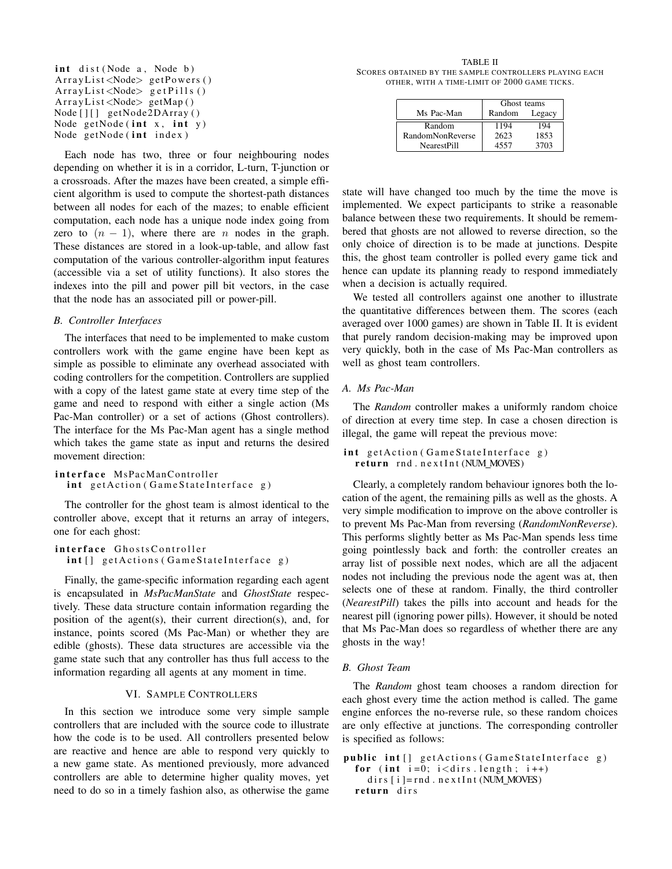int dist (Node a, Node b) ArrayList<Node> getPowers () ArrayList<Node> getPills()  $ArrayList < Node>getMap()$ Node [][] getNode2DArray () Node getNode (int  $x$ , int  $y$ ) Node  $getNode(int index)$ 

Each node has two, three or four neighbouring nodes depending on whether it is in a corridor, L-turn, T-junction or a crossroads. After the mazes have been created, a simple efficient algorithm is used to compute the shortest-path distances between all nodes for each of the mazes; to enable efficient computation, each node has a unique node index going from zero to  $(n - 1)$ , where there are n nodes in the graph. These distances are stored in a look-up-table, and allow fast computation of the various controller-algorithm input features (accessible via a set of utility functions). It also stores the indexes into the pill and power pill bit vectors, in the case that the node has an associated pill or power-pill.

#### *B. Controller Interfaces*

The interfaces that need to be implemented to make custom controllers work with the game engine have been kept as simple as possible to eliminate any overhead associated with coding controllers for the competition. Controllers are supplied with a copy of the latest game state at every time step of the game and need to respond with either a single action (Ms Pac-Man controller) or a set of actions (Ghost controllers). The interface for the Ms Pac-Man agent has a single method which takes the game state as input and returns the desired movement direction:

```
interface MsPacManController
  int get Action (Game State Interface g)
```
The controller for the ghost team is almost identical to the controller above, except that it returns an array of integers, one for each ghost:

```
interface GhostsController
  int [] get Actions (Game State Interface g)
```
Finally, the game-specific information regarding each agent is encapsulated in *MsPacManState* and *GhostState* respectively. These data structure contain information regarding the position of the agent(s), their current direction(s), and, for instance, points scored (Ms Pac-Man) or whether they are edible (ghosts). These data structures are accessible via the game state such that any controller has thus full access to the information regarding all agents at any moment in time.

# VI. SAMPLE CONTROLLERS

In this section we introduce some very simple sample controllers that are included with the source code to illustrate how the code is to be used. All controllers presented below are reactive and hence are able to respond very quickly to a new game state. As mentioned previously, more advanced controllers are able to determine higher quality moves, yet need to do so in a timely fashion also, as otherwise the game

TABLE II SCORES OBTAINED BY THE SAMPLE CONTROLLERS PLAYING EACH OTHER, WITH A TIME-LIMIT OF 2000 GAME TICKS.

|                    | Ghost teams |        |
|--------------------|-------------|--------|
| Ms Pac-Man         | Random      | Legacy |
| Random             | 1194        | 194    |
| RandomNonReverse   | 2623        | 1853   |
| <b>NearestPill</b> | 4557        | 3703   |

state will have changed too much by the time the move is implemented. We expect participants to strike a reasonable balance between these two requirements. It should be remembered that ghosts are not allowed to reverse direction, so the only choice of direction is to be made at junctions. Despite this, the ghost team controller is polled every game tick and hence can update its planning ready to respond immediately when a decision is actually required.

We tested all controllers against one another to illustrate the quantitative differences between them. The scores (each averaged over 1000 games) are shown in Table II. It is evident that purely random decision-making may be improved upon very quickly, both in the case of Ms Pac-Man controllers as well as ghost team controllers.

### *A. Ms Pac-Man*

The *Random* controller makes a uniformly random choice of direction at every time step. In case a chosen direction is illegal, the game will repeat the previous move:

int get Action (Game State Interface g) return rnd.nextInt (NUM\_MOVES)

Clearly, a completely random behaviour ignores both the location of the agent, the remaining pills as well as the ghosts. A very simple modification to improve on the above controller is to prevent Ms Pac-Man from reversing (*RandomNonReverse*). This performs slightly better as Ms Pac-Man spends less time going pointlessly back and forth: the controller creates an array list of possible next nodes, which are all the adjacent nodes not including the previous node the agent was at, then selects one of these at random. Finally, the third controller (*NearestPill*) takes the pills into account and heads for the nearest pill (ignoring power pills). However, it should be noted that Ms Pac-Man does so regardless of whether there are any ghosts in the way!

#### *B. Ghost Team*

The *Random* ghost team chooses a random direction for each ghost every time the action method is called. The game engine enforces the no-reverse rule, so these random choices are only effective at junctions. The corresponding controller is specified as follows:

```
public int [] get Actions (Game State Interface g)
  for (int i = 0; i <dirs.length; i ++)
    dirs[i]=rnd.nextInt(NUM_MOVES)return dirs
```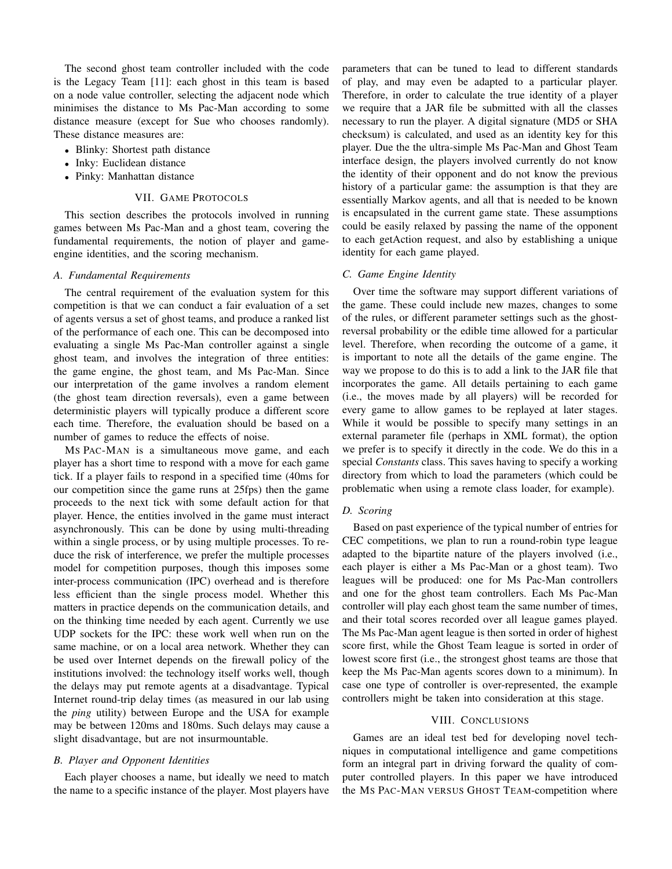The second ghost team controller included with the code is the Legacy Team [11]: each ghost in this team is based on a node value controller, selecting the adjacent node which minimises the distance to Ms Pac-Man according to some distance measure (except for Sue who chooses randomly). These distance measures are:

- Blinky: Shortest path distance
- Inky: Euclidean distance
- Pinky: Manhattan distance

# VII. GAME PROTOCOLS

This section describes the protocols involved in running games between Ms Pac-Man and a ghost team, covering the fundamental requirements, the notion of player and gameengine identities, and the scoring mechanism.

#### *A. Fundamental Requirements*

The central requirement of the evaluation system for this competition is that we can conduct a fair evaluation of a set of agents versus a set of ghost teams, and produce a ranked list of the performance of each one. This can be decomposed into evaluating a single Ms Pac-Man controller against a single ghost team, and involves the integration of three entities: the game engine, the ghost team, and Ms Pac-Man. Since our interpretation of the game involves a random element (the ghost team direction reversals), even a game between deterministic players will typically produce a different score each time. Therefore, the evaluation should be based on a number of games to reduce the effects of noise.

MS PAC-MAN is a simultaneous move game, and each player has a short time to respond with a move for each game tick. If a player fails to respond in a specified time (40ms for our competition since the game runs at 25fps) then the game proceeds to the next tick with some default action for that player. Hence, the entities involved in the game must interact asynchronously. This can be done by using multi-threading within a single process, or by using multiple processes. To reduce the risk of interference, we prefer the multiple processes model for competition purposes, though this imposes some inter-process communication (IPC) overhead and is therefore less efficient than the single process model. Whether this matters in practice depends on the communication details, and on the thinking time needed by each agent. Currently we use UDP sockets for the IPC: these work well when run on the same machine, or on a local area network. Whether they can be used over Internet depends on the firewall policy of the institutions involved: the technology itself works well, though the delays may put remote agents at a disadvantage. Typical Internet round-trip delay times (as measured in our lab using the *ping* utility) between Europe and the USA for example may be between 120ms and 180ms. Such delays may cause a slight disadvantage, but are not insurmountable.

# *B. Player and Opponent Identities*

Each player chooses a name, but ideally we need to match the name to a specific instance of the player. Most players have parameters that can be tuned to lead to different standards of play, and may even be adapted to a particular player. Therefore, in order to calculate the true identity of a player we require that a JAR file be submitted with all the classes necessary to run the player. A digital signature (MD5 or SHA checksum) is calculated, and used as an identity key for this player. Due the the ultra-simple Ms Pac-Man and Ghost Team interface design, the players involved currently do not know the identity of their opponent and do not know the previous history of a particular game: the assumption is that they are essentially Markov agents, and all that is needed to be known is encapsulated in the current game state. These assumptions could be easily relaxed by passing the name of the opponent to each getAction request, and also by establishing a unique identity for each game played.

#### *C. Game Engine Identity*

Over time the software may support different variations of the game. These could include new mazes, changes to some of the rules, or different parameter settings such as the ghostreversal probability or the edible time allowed for a particular level. Therefore, when recording the outcome of a game, it is important to note all the details of the game engine. The way we propose to do this is to add a link to the JAR file that incorporates the game. All details pertaining to each game (i.e., the moves made by all players) will be recorded for every game to allow games to be replayed at later stages. While it would be possible to specify many settings in an external parameter file (perhaps in XML format), the option we prefer is to specify it directly in the code. We do this in a special *Constants* class. This saves having to specify a working directory from which to load the parameters (which could be problematic when using a remote class loader, for example).

#### *D. Scoring*

Based on past experience of the typical number of entries for CEC competitions, we plan to run a round-robin type league adapted to the bipartite nature of the players involved (i.e., each player is either a Ms Pac-Man or a ghost team). Two leagues will be produced: one for Ms Pac-Man controllers and one for the ghost team controllers. Each Ms Pac-Man controller will play each ghost team the same number of times, and their total scores recorded over all league games played. The Ms Pac-Man agent league is then sorted in order of highest score first, while the Ghost Team league is sorted in order of lowest score first (i.e., the strongest ghost teams are those that keep the Ms Pac-Man agents scores down to a minimum). In case one type of controller is over-represented, the example controllers might be taken into consideration at this stage.

#### VIII. CONCLUSIONS

Games are an ideal test bed for developing novel techniques in computational intelligence and game competitions form an integral part in driving forward the quality of computer controlled players. In this paper we have introduced the MS PAC-MAN VERSUS GHOST TEAM-competition where